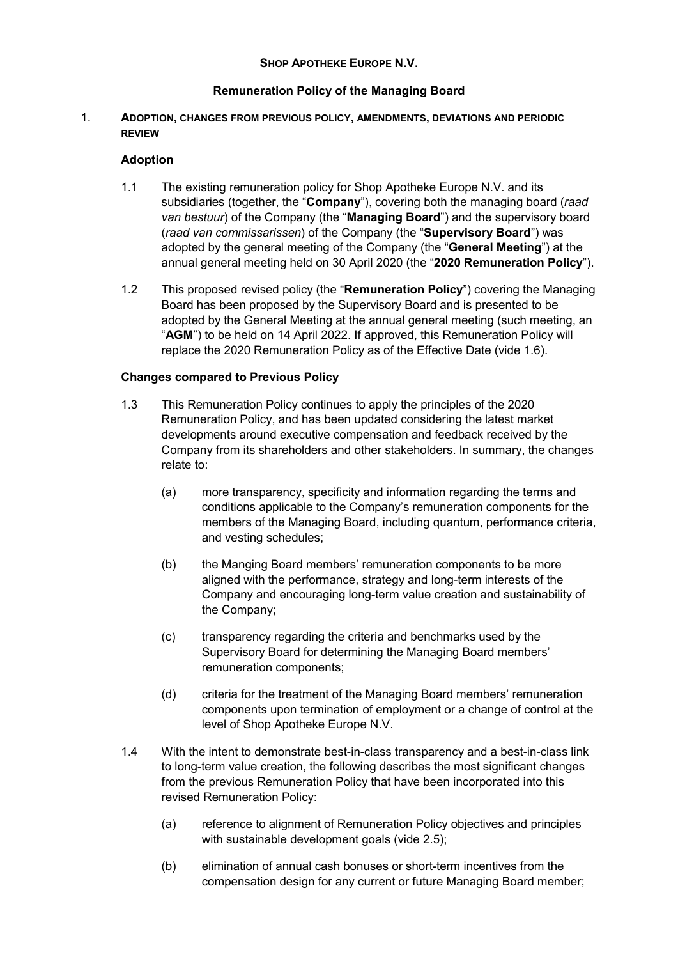### SHOP APOTHEKE EUROPE N.V.

# Remuneration Policy of the Managing Board

#### 1. ADOPTION, CHANGES FROM PREVIOUS POLICY, AMENDMENTS, DEVIATIONS AND PERIODIC REVIEW

## Adoption

- 1.1 The existing remuneration policy for Shop Apotheke Europe N.V. and its subsidiaries (together, the "Company"), covering both the managing board (raad van bestuur) of the Company (the "Managing Board") and the supervisory board (raad van commissarissen) of the Company (the "Supervisory Board") was adopted by the general meeting of the Company (the "General Meeting") at the annual general meeting held on 30 April 2020 (the "2020 Remuneration Policy").
- 1.2 This proposed revised policy (the "Remuneration Policy") covering the Managing Board has been proposed by the Supervisory Board and is presented to be adopted by the General Meeting at the annual general meeting (such meeting, an "AGM") to be held on 14 April 2022. If approved, this Remuneration Policy will replace the 2020 Remuneration Policy as of the Effective Date (vide 1.6).

### Changes compared to Previous Policy

- 1.3 This Remuneration Policy continues to apply the principles of the 2020 Remuneration Policy, and has been updated considering the latest market developments around executive compensation and feedback received by the Company from its shareholders and other stakeholders. In summary, the changes relate to:
	- (a) more transparency, specificity and information regarding the terms and conditions applicable to the Company's remuneration components for the members of the Managing Board, including quantum, performance criteria, and vesting schedules;
	- (b) the Manging Board members' remuneration components to be more aligned with the performance, strategy and long-term interests of the Company and encouraging long-term value creation and sustainability of the Company;
	- (c) transparency regarding the criteria and benchmarks used by the Supervisory Board for determining the Managing Board members' remuneration components;
	- (d) criteria for the treatment of the Managing Board members' remuneration components upon termination of employment or a change of control at the level of Shop Apotheke Europe N.V.
- 1.4 With the intent to demonstrate best-in-class transparency and a best-in-class link to long-term value creation, the following describes the most significant changes from the previous Remuneration Policy that have been incorporated into this revised Remuneration Policy:
	- (a) reference to alignment of Remuneration Policy objectives and principles with sustainable development goals (vide 2.5);
	- (b) elimination of annual cash bonuses or short-term incentives from the compensation design for any current or future Managing Board member;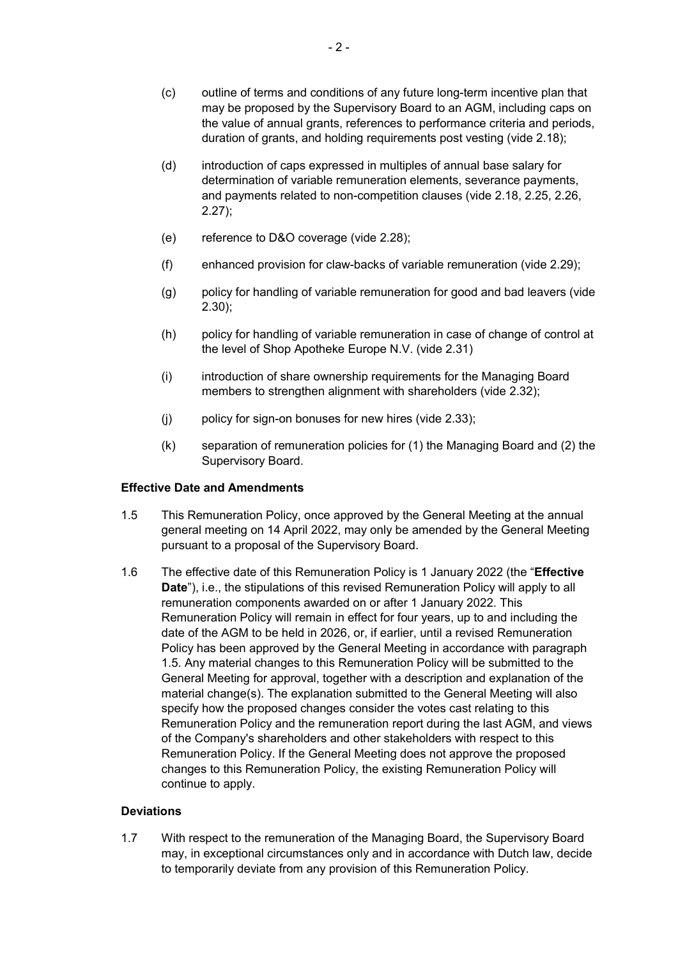- (c) outline of terms and conditions of any future long-term incentive plan that may be proposed by the Supervisory Board to an AGM, including caps on the value of annual grants, references to performance criteria and periods, duration of grants, and holding requirements post vesting (vide 2.18);
- (d) introduction of caps expressed in multiples of annual base salary for determination of variable remuneration elements, severance payments, and payments related to non-competition clauses (vide 2.18, 2.25, 2.26, 2.27);
- (e) reference to D&O coverage (vide 2.28);
- (f) enhanced provision for claw-backs of variable remuneration (vide 2.29);
- (g) policy for handling of variable remuneration for good and bad leavers (vide 2.30);
- (h) policy for handling of variable remuneration in case of change of control at the level of Shop Apotheke Europe N.V. (vide 2.31)
- (i) introduction of share ownership requirements for the Managing Board members to strengthen alignment with shareholders (vide 2.32);
- (j) policy for sign-on bonuses for new hires (vide 2.33);
- (k) separation of remuneration policies for (1) the Managing Board and (2) the Supervisory Board.

#### Effective Date and Amendments

- 1.5 This Remuneration Policy, once approved by the General Meeting at the annual general meeting on 14 April 2022, may only be amended by the General Meeting pursuant to a proposal of the Supervisory Board.
- 1.6 The effective date of this Remuneration Policy is 1 January 2022 (the "Effective Date"), i.e., the stipulations of this revised Remuneration Policy will apply to all remuneration components awarded on or after 1 January 2022. This Remuneration Policy will remain in effect for four years, up to and including the date of the AGM to be held in 2026, or, if earlier, until a revised Remuneration Policy has been approved by the General Meeting in accordance with paragraph 1.5. Any material changes to this Remuneration Policy will be submitted to the General Meeting for approval, together with a description and explanation of the material change(s). The explanation submitted to the General Meeting will also specify how the proposed changes consider the votes cast relating to this Remuneration Policy and the remuneration report during the last AGM, and views of the Company's shareholders and other stakeholders with respect to this Remuneration Policy. If the General Meeting does not approve the proposed changes to this Remuneration Policy, the existing Remuneration Policy will continue to apply.

#### **Deviations**

1.7 With respect to the remuneration of the Managing Board, the Supervisory Board may, in exceptional circumstances only and in accordance with Dutch law, decide to temporarily deviate from any provision of this Remuneration Policy.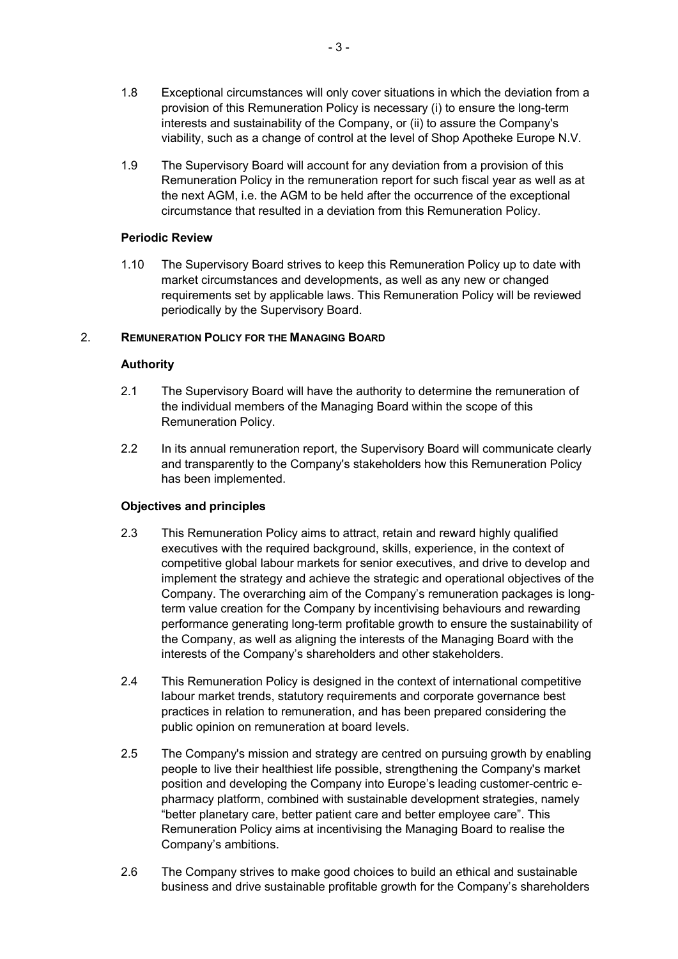- 1.8 Exceptional circumstances will only cover situations in which the deviation from a provision of this Remuneration Policy is necessary (i) to ensure the long-term interests and sustainability of the Company, or (ii) to assure the Company's viability, such as a change of control at the level of Shop Apotheke Europe N.V.
- 1.9 The Supervisory Board will account for any deviation from a provision of this Remuneration Policy in the remuneration report for such fiscal year as well as at the next AGM, i.e. the AGM to be held after the occurrence of the exceptional circumstance that resulted in a deviation from this Remuneration Policy.

## Periodic Review

1.10 The Supervisory Board strives to keep this Remuneration Policy up to date with market circumstances and developments, as well as any new or changed requirements set by applicable laws. This Remuneration Policy will be reviewed periodically by the Supervisory Board.

### 2. REMUNERATION POLICY FOR THE MANAGING BOARD

### Authority

- 2.1 The Supervisory Board will have the authority to determine the remuneration of the individual members of the Managing Board within the scope of this Remuneration Policy.
- 2.2 In its annual remuneration report, the Supervisory Board will communicate clearly and transparently to the Company's stakeholders how this Remuneration Policy has been implemented.

# Objectives and principles

- 2.3 This Remuneration Policy aims to attract, retain and reward highly qualified executives with the required background, skills, experience, in the context of competitive global labour markets for senior executives, and drive to develop and implement the strategy and achieve the strategic and operational objectives of the Company. The overarching aim of the Company's remuneration packages is longterm value creation for the Company by incentivising behaviours and rewarding performance generating long-term profitable growth to ensure the sustainability of the Company, as well as aligning the interests of the Managing Board with the interests of the Company's shareholders and other stakeholders.
- 2.4 This Remuneration Policy is designed in the context of international competitive labour market trends, statutory requirements and corporate governance best practices in relation to remuneration, and has been prepared considering the public opinion on remuneration at board levels.
- 2.5 The Company's mission and strategy are centred on pursuing growth by enabling people to live their healthiest life possible, strengthening the Company's market position and developing the Company into Europe's leading customer-centric epharmacy platform, combined with sustainable development strategies, namely "better planetary care, better patient care and better employee care". This Remuneration Policy aims at incentivising the Managing Board to realise the Company's ambitions.
- 2.6 The Company strives to make good choices to build an ethical and sustainable business and drive sustainable profitable growth for the Company's shareholders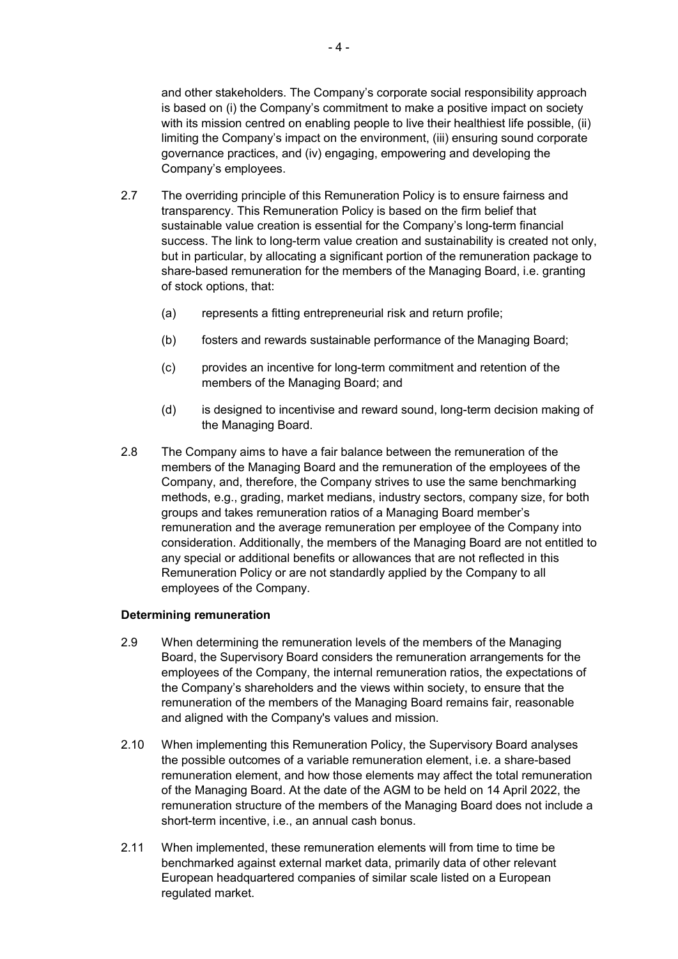and other stakeholders. The Company's corporate social responsibility approach is based on (i) the Company's commitment to make a positive impact on society with its mission centred on enabling people to live their healthiest life possible, (ii) limiting the Company's impact on the environment, (iii) ensuring sound corporate governance practices, and (iv) engaging, empowering and developing the Company's employees.

- 2.7 The overriding principle of this Remuneration Policy is to ensure fairness and transparency. This Remuneration Policy is based on the firm belief that sustainable value creation is essential for the Company's long-term financial success. The link to long-term value creation and sustainability is created not only, but in particular, by allocating a significant portion of the remuneration package to share-based remuneration for the members of the Managing Board, i.e. granting of stock options, that:
	- (a) represents a fitting entrepreneurial risk and return profile;
	- (b) fosters and rewards sustainable performance of the Managing Board;
	- (c) provides an incentive for long-term commitment and retention of the members of the Managing Board; and
	- (d) is designed to incentivise and reward sound, long-term decision making of the Managing Board.
- 2.8 The Company aims to have a fair balance between the remuneration of the members of the Managing Board and the remuneration of the employees of the Company, and, therefore, the Company strives to use the same benchmarking methods, e.g., grading, market medians, industry sectors, company size, for both groups and takes remuneration ratios of a Managing Board member's remuneration and the average remuneration per employee of the Company into consideration. Additionally, the members of the Managing Board are not entitled to any special or additional benefits or allowances that are not reflected in this Remuneration Policy or are not standardly applied by the Company to all employees of the Company.

#### Determining remuneration

- 2.9 When determining the remuneration levels of the members of the Managing Board, the Supervisory Board considers the remuneration arrangements for the employees of the Company, the internal remuneration ratios, the expectations of the Company's shareholders and the views within society, to ensure that the remuneration of the members of the Managing Board remains fair, reasonable and aligned with the Company's values and mission.
- 2.10 When implementing this Remuneration Policy, the Supervisory Board analyses the possible outcomes of a variable remuneration element, i.e. a share-based remuneration element, and how those elements may affect the total remuneration of the Managing Board. At the date of the AGM to be held on 14 April 2022, the remuneration structure of the members of the Managing Board does not include a short-term incentive, i.e., an annual cash bonus.
- 2.11 When implemented, these remuneration elements will from time to time be benchmarked against external market data, primarily data of other relevant European headquartered companies of similar scale listed on a European regulated market.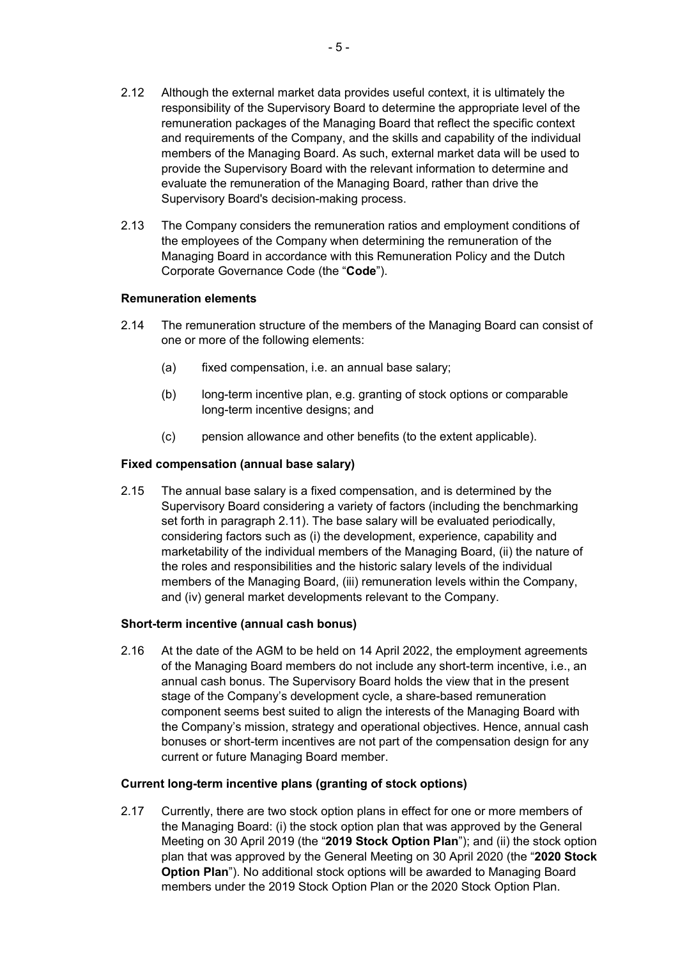- 2.12 Although the external market data provides useful context, it is ultimately the responsibility of the Supervisory Board to determine the appropriate level of the remuneration packages of the Managing Board that reflect the specific context and requirements of the Company, and the skills and capability of the individual members of the Managing Board. As such, external market data will be used to provide the Supervisory Board with the relevant information to determine and evaluate the remuneration of the Managing Board, rather than drive the Supervisory Board's decision-making process.
- 2.13 The Company considers the remuneration ratios and employment conditions of the employees of the Company when determining the remuneration of the Managing Board in accordance with this Remuneration Policy and the Dutch Corporate Governance Code (the "Code").

### Remuneration elements

- 2.14 The remuneration structure of the members of the Managing Board can consist of one or more of the following elements:
	- (a) fixed compensation, i.e. an annual base salary;
	- (b) long-term incentive plan, e.g. granting of stock options or comparable long-term incentive designs; and
	- (c) pension allowance and other benefits (to the extent applicable).

### Fixed compensation (annual base salary)

2.15 The annual base salary is a fixed compensation, and is determined by the Supervisory Board considering a variety of factors (including the benchmarking set forth in paragraph 2.11). The base salary will be evaluated periodically, considering factors such as (i) the development, experience, capability and marketability of the individual members of the Managing Board, (ii) the nature of the roles and responsibilities and the historic salary levels of the individual members of the Managing Board, (iii) remuneration levels within the Company, and (iv) general market developments relevant to the Company.

#### Short-term incentive (annual cash bonus)

2.16 At the date of the AGM to be held on 14 April 2022, the employment agreements of the Managing Board members do not include any short-term incentive, i.e., an annual cash bonus. The Supervisory Board holds the view that in the present stage of the Company's development cycle, a share-based remuneration component seems best suited to align the interests of the Managing Board with the Company's mission, strategy and operational objectives. Hence, annual cash bonuses or short-term incentives are not part of the compensation design for any current or future Managing Board member.

#### Current long-term incentive plans (granting of stock options)

2.17 Currently, there are two stock option plans in effect for one or more members of the Managing Board: (i) the stock option plan that was approved by the General Meeting on 30 April 2019 (the "2019 Stock Option Plan"); and (ii) the stock option plan that was approved by the General Meeting on 30 April 2020 (the "2020 Stock Option Plan"). No additional stock options will be awarded to Managing Board members under the 2019 Stock Option Plan or the 2020 Stock Option Plan.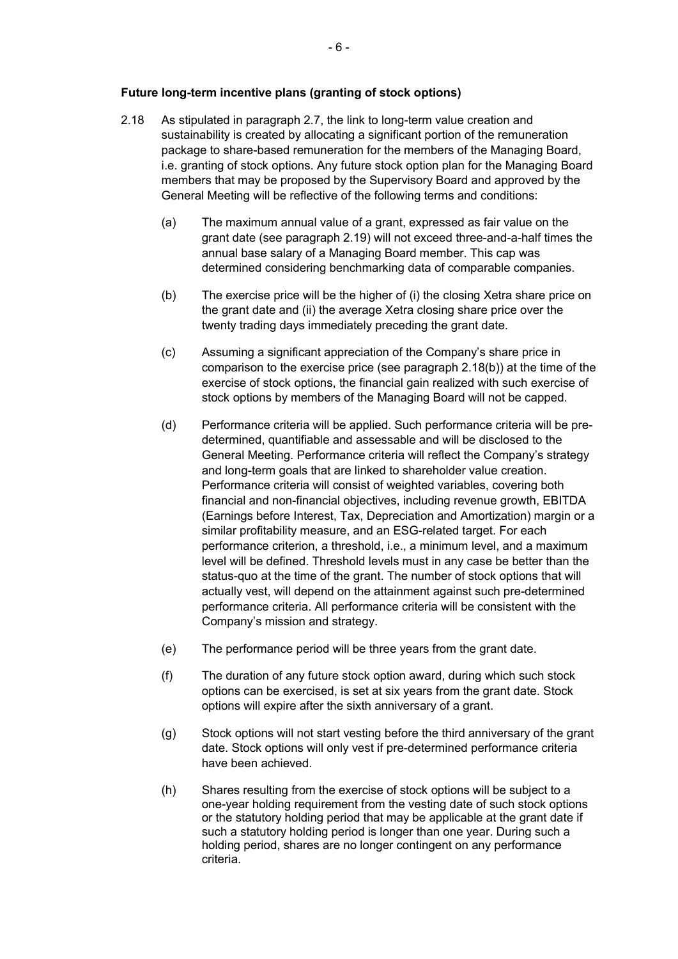#### Future long-term incentive plans (granting of stock options)

- 2.18 As stipulated in paragraph 2.7, the link to long-term value creation and sustainability is created by allocating a significant portion of the remuneration package to share-based remuneration for the members of the Managing Board, i.e. granting of stock options. Any future stock option plan for the Managing Board members that may be proposed by the Supervisory Board and approved by the General Meeting will be reflective of the following terms and conditions:
	- (a) The maximum annual value of a grant, expressed as fair value on the grant date (see paragraph 2.19) will not exceed three-and-a-half times the annual base salary of a Managing Board member. This cap was determined considering benchmarking data of comparable companies.
	- (b) The exercise price will be the higher of (i) the closing Xetra share price on the grant date and (ii) the average Xetra closing share price over the twenty trading days immediately preceding the grant date.
	- (c) Assuming a significant appreciation of the Company's share price in comparison to the exercise price (see paragraph 2.18(b)) at the time of the exercise of stock options, the financial gain realized with such exercise of stock options by members of the Managing Board will not be capped.
	- (d) Performance criteria will be applied. Such performance criteria will be predetermined, quantifiable and assessable and will be disclosed to the General Meeting. Performance criteria will reflect the Company's strategy and long-term goals that are linked to shareholder value creation. Performance criteria will consist of weighted variables, covering both financial and non-financial objectives, including revenue growth, EBITDA (Earnings before Interest, Tax, Depreciation and Amortization) margin or a similar profitability measure, and an ESG-related target. For each performance criterion, a threshold, i.e., a minimum level, and a maximum level will be defined. Threshold levels must in any case be better than the status-quo at the time of the grant. The number of stock options that will actually vest, will depend on the attainment against such pre-determined performance criteria. All performance criteria will be consistent with the Company's mission and strategy.
	- (e) The performance period will be three years from the grant date.
	- (f) The duration of any future stock option award, during which such stock options can be exercised, is set at six years from the grant date. Stock options will expire after the sixth anniversary of a grant.
	- (g) Stock options will not start vesting before the third anniversary of the grant date. Stock options will only vest if pre-determined performance criteria have been achieved.
	- (h) Shares resulting from the exercise of stock options will be subject to a one-year holding requirement from the vesting date of such stock options or the statutory holding period that may be applicable at the grant date if such a statutory holding period is longer than one year. During such a holding period, shares are no longer contingent on any performance criteria.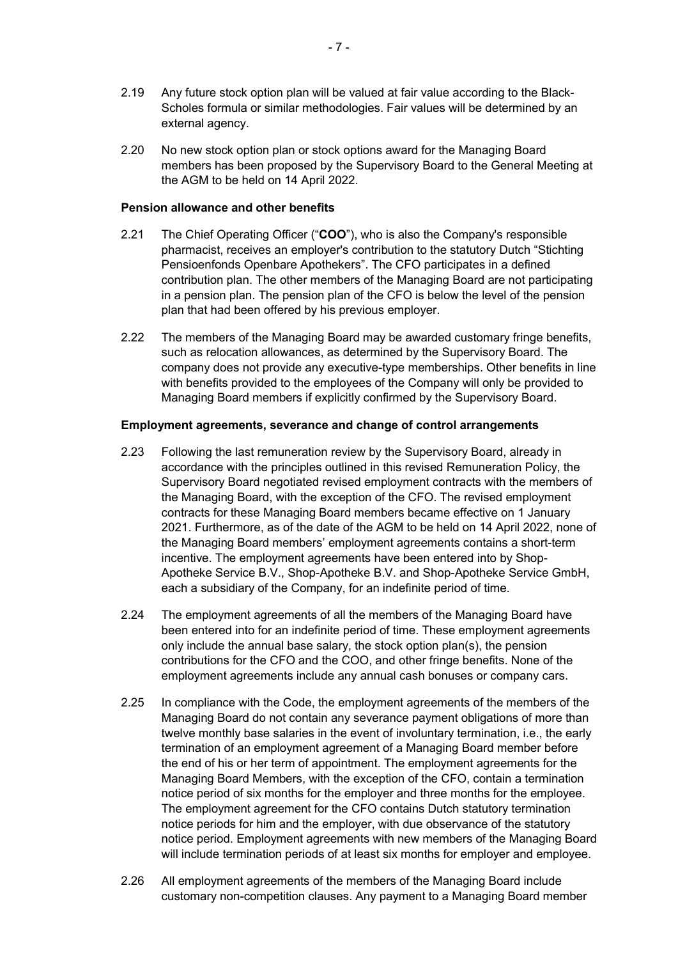- 2.19 Any future stock option plan will be valued at fair value according to the Black-Scholes formula or similar methodologies. Fair values will be determined by an external agency.
- 2.20 No new stock option plan or stock options award for the Managing Board members has been proposed by the Supervisory Board to the General Meeting at the AGM to be held on 14 April 2022.

### Pension allowance and other benefits

- 2.21 The Chief Operating Officer ("COO"), who is also the Company's responsible pharmacist, receives an employer's contribution to the statutory Dutch "Stichting Pensioenfonds Openbare Apothekers". The CFO participates in a defined contribution plan. The other members of the Managing Board are not participating in a pension plan. The pension plan of the CFO is below the level of the pension plan that had been offered by his previous employer.
- 2.22 The members of the Managing Board may be awarded customary fringe benefits, such as relocation allowances, as determined by the Supervisory Board. The company does not provide any executive-type memberships. Other benefits in line with benefits provided to the employees of the Company will only be provided to Managing Board members if explicitly confirmed by the Supervisory Board.

### Employment agreements, severance and change of control arrangements

- 2.23 Following the last remuneration review by the Supervisory Board, already in accordance with the principles outlined in this revised Remuneration Policy, the Supervisory Board negotiated revised employment contracts with the members of the Managing Board, with the exception of the CFO. The revised employment contracts for these Managing Board members became effective on 1 January 2021. Furthermore, as of the date of the AGM to be held on 14 April 2022, none of the Managing Board members' employment agreements contains a short-term incentive. The employment agreements have been entered into by Shop-Apotheke Service B.V., Shop-Apotheke B.V. and Shop-Apotheke Service GmbH, each a subsidiary of the Company, for an indefinite period of time.
- 2.24 The employment agreements of all the members of the Managing Board have been entered into for an indefinite period of time. These employment agreements only include the annual base salary, the stock option plan(s), the pension contributions for the CFO and the COO, and other fringe benefits. None of the employment agreements include any annual cash bonuses or company cars.
- 2.25 In compliance with the Code, the employment agreements of the members of the Managing Board do not contain any severance payment obligations of more than twelve monthly base salaries in the event of involuntary termination, i.e., the early termination of an employment agreement of a Managing Board member before the end of his or her term of appointment. The employment agreements for the Managing Board Members, with the exception of the CFO, contain a termination notice period of six months for the employer and three months for the employee. The employment agreement for the CFO contains Dutch statutory termination notice periods for him and the employer, with due observance of the statutory notice period. Employment agreements with new members of the Managing Board will include termination periods of at least six months for employer and employee.
- 2.26 All employment agreements of the members of the Managing Board include customary non-competition clauses. Any payment to a Managing Board member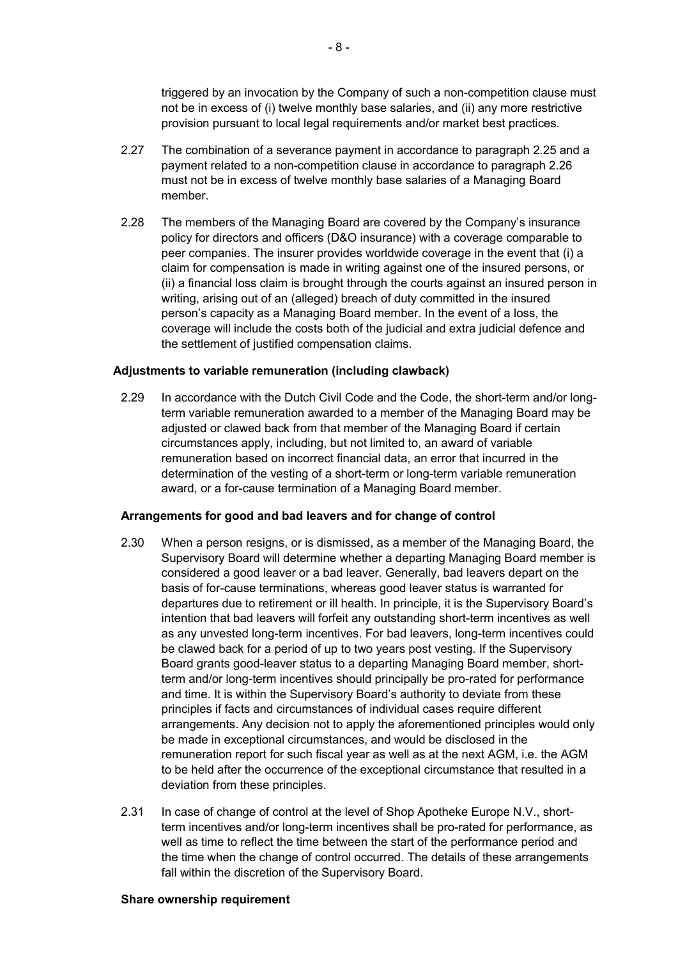triggered by an invocation by the Company of such a non-competition clause must not be in excess of (i) twelve monthly base salaries, and (ii) any more restrictive provision pursuant to local legal requirements and/or market best practices.

- 2.27 The combination of a severance payment in accordance to paragraph 2.25 and a payment related to a non-competition clause in accordance to paragraph 2.26 must not be in excess of twelve monthly base salaries of a Managing Board member.
- 2.28 The members of the Managing Board are covered by the Company's insurance policy for directors and officers (D&O insurance) with a coverage comparable to peer companies. The insurer provides worldwide coverage in the event that (i) a claim for compensation is made in writing against one of the insured persons, or (ii) a financial loss claim is brought through the courts against an insured person in writing, arising out of an (alleged) breach of duty committed in the insured person's capacity as a Managing Board member. In the event of a loss, the coverage will include the costs both of the judicial and extra judicial defence and the settlement of justified compensation claims.

#### Adjustments to variable remuneration (including clawback)

2.29 In accordance with the Dutch Civil Code and the Code, the short-term and/or longterm variable remuneration awarded to a member of the Managing Board may be adjusted or clawed back from that member of the Managing Board if certain circumstances apply, including, but not limited to, an award of variable remuneration based on incorrect financial data, an error that incurred in the determination of the vesting of a short-term or long-term variable remuneration award, or a for-cause termination of a Managing Board member.

#### Arrangements for good and bad leavers and for change of control

- 2.30 When a person resigns, or is dismissed, as a member of the Managing Board, the Supervisory Board will determine whether a departing Managing Board member is considered a good leaver or a bad leaver. Generally, bad leavers depart on the basis of for-cause terminations, whereas good leaver status is warranted for departures due to retirement or ill health. In principle, it is the Supervisory Board's intention that bad leavers will forfeit any outstanding short-term incentives as well as any unvested long-term incentives. For bad leavers, long-term incentives could be clawed back for a period of up to two years post vesting. If the Supervisory Board grants good-leaver status to a departing Managing Board member, shortterm and/or long-term incentives should principally be pro-rated for performance and time. It is within the Supervisory Board's authority to deviate from these principles if facts and circumstances of individual cases require different arrangements. Any decision not to apply the aforementioned principles would only be made in exceptional circumstances, and would be disclosed in the remuneration report for such fiscal year as well as at the next AGM, i.e. the AGM to be held after the occurrence of the exceptional circumstance that resulted in a deviation from these principles.
- 2.31 In case of change of control at the level of Shop Apotheke Europe N.V., shortterm incentives and/or long-term incentives shall be pro-rated for performance, as well as time to reflect the time between the start of the performance period and the time when the change of control occurred. The details of these arrangements fall within the discretion of the Supervisory Board.

#### Share ownership requirement